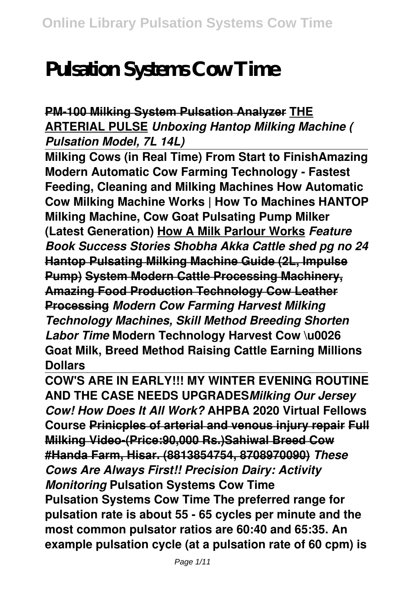# **Pulsation Systems Cow Time**

## **PM-100 Milking System Pulsation Analyzer THE ARTERIAL PULSE** *Unboxing Hantop Milking Machine ( Pulsation Model, 7L 14L)*

**Milking Cows (in Real Time) From Start to FinishAmazing Modern Automatic Cow Farming Technology - Fastest Feeding, Cleaning and Milking Machines How Automatic Cow Milking Machine Works | How To Machines HANTOP Milking Machine, Cow Goat Pulsating Pump Milker (Latest Generation) How A Milk Parlour Works** *Feature Book Success Stories Shobha Akka Cattle shed pg no 24* **Hantop Pulsating Milking Machine Guide (2L, Impulse Pump) System Modern Cattle Processing Machinery, Amazing Food Production Technology Cow Leather Processing** *Modern Cow Farming Harvest Milking Technology Machines, Skill Method Breeding Shorten Labor Time* **Modern Technology Harvest Cow \u0026 Goat Milk, Breed Method Raising Cattle Earning Millions Dollars** 

**COW'S ARE IN EARLY!!! MY WINTER EVENING ROUTINE AND THE CASE NEEDS UPGRADES***Milking Our Jersey Cow! How Does It All Work?* **AHPBA 2020 Virtual Fellows Course Prinicples of arterial and venous injury repair Full Milking Video-(Price:90,000 Rs.)Sahiwal Breed Cow #Handa Farm, Hisar. (8813854754, 8708970090)** *These Cows Are Always First!! Precision Dairy: Activity Monitoring* **Pulsation Systems Cow Time Pulsation Systems Cow Time The preferred range for pulsation rate is about 55 - 65 cycles per minute and the most common pulsator ratios are 60:40 and 65:35. An example pulsation cycle (at a pulsation rate of 60 cpm) is**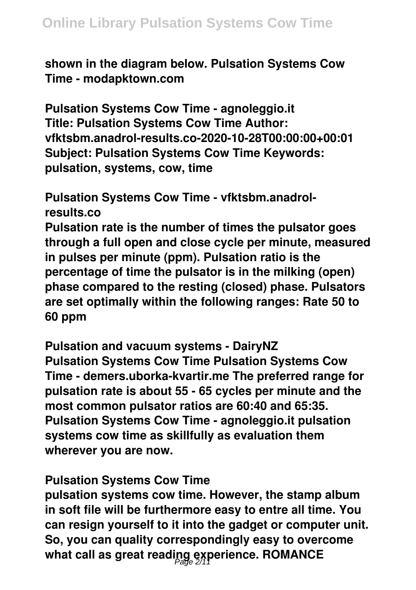**shown in the diagram below. Pulsation Systems Cow Time - modapktown.com**

**Pulsation Systems Cow Time - agnoleggio.it Title: Pulsation Systems Cow Time Author: vfktsbm.anadrol-results.co-2020-10-28T00:00:00+00:01 Subject: Pulsation Systems Cow Time Keywords: pulsation, systems, cow, time**

**Pulsation Systems Cow Time - vfktsbm.anadrolresults.co Pulsation rate is the number of times the pulsator goes through a full open and close cycle per minute, measured in pulses per minute (ppm). Pulsation ratio is the percentage of time the pulsator is in the milking (open) phase compared to the resting (closed) phase. Pulsators are set optimally within the following ranges: Rate 50 to 60 ppm**

**Pulsation and vacuum systems - DairyNZ Pulsation Systems Cow Time Pulsation Systems Cow Time - demers.uborka-kvartir.me The preferred range for pulsation rate is about 55 - 65 cycles per minute and the most common pulsator ratios are 60:40 and 65:35. Pulsation Systems Cow Time - agnoleggio.it pulsation systems cow time as skillfully as evaluation them wherever you are now.**

#### **Pulsation Systems Cow Time**

**pulsation systems cow time. However, the stamp album in soft file will be furthermore easy to entre all time. You can resign yourself to it into the gadget or computer unit. So, you can quality correspondingly easy to overcome what call as great reading experience. ROMANCE** Page 2/11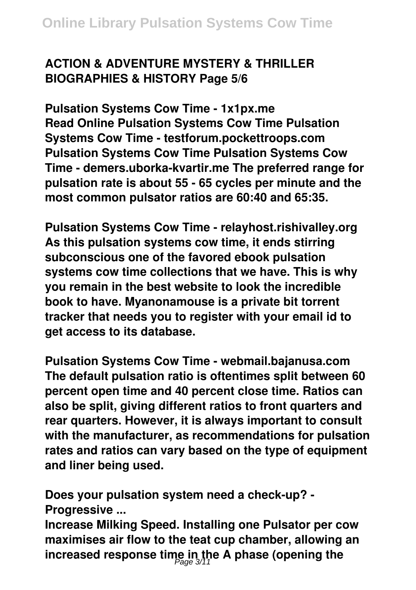# **ACTION & ADVENTURE MYSTERY & THRILLER BIOGRAPHIES & HISTORY Page 5/6**

**Pulsation Systems Cow Time - 1x1px.me Read Online Pulsation Systems Cow Time Pulsation Systems Cow Time - testforum.pockettroops.com Pulsation Systems Cow Time Pulsation Systems Cow Time - demers.uborka-kvartir.me The preferred range for pulsation rate is about 55 - 65 cycles per minute and the most common pulsator ratios are 60:40 and 65:35.**

**Pulsation Systems Cow Time - relayhost.rishivalley.org As this pulsation systems cow time, it ends stirring subconscious one of the favored ebook pulsation systems cow time collections that we have. This is why you remain in the best website to look the incredible book to have. Myanonamouse is a private bit torrent tracker that needs you to register with your email id to get access to its database.**

**Pulsation Systems Cow Time - webmail.bajanusa.com The default pulsation ratio is oftentimes split between 60 percent open time and 40 percent close time. Ratios can also be split, giving different ratios to front quarters and rear quarters. However, it is always important to consult with the manufacturer, as recommendations for pulsation rates and ratios can vary based on the type of equipment and liner being used.**

**Does your pulsation system need a check-up? - Progressive ...**

**Increase Milking Speed. Installing one Pulsator per cow maximises air flow to the teat cup chamber, allowing an increased response time in the A phase (opening the** Page 3/11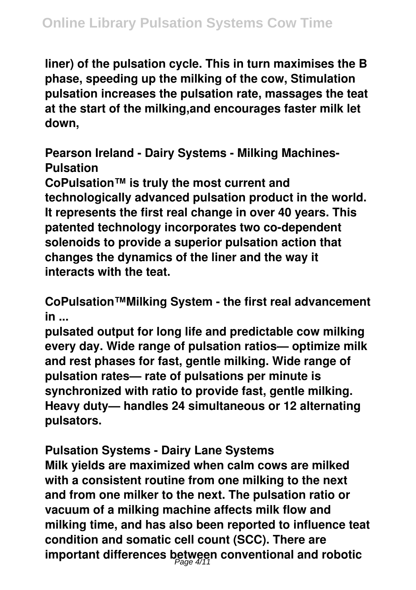**liner) of the pulsation cycle. This in turn maximises the B phase, speeding up the milking of the cow, Stimulation pulsation increases the pulsation rate, massages the teat at the start of the milking,and encourages faster milk let down,**

**Pearson Ireland - Dairy Systems - Milking Machines-Pulsation**

**CoPulsation™ is truly the most current and technologically advanced pulsation product in the world. It represents the first real change in over 40 years. This patented technology incorporates two co-dependent solenoids to provide a superior pulsation action that changes the dynamics of the liner and the way it interacts with the teat.**

**CoPulsation™Milking System - the first real advancement in ...**

**pulsated output for long life and predictable cow milking every day. Wide range of pulsation ratios— optimize milk and rest phases for fast, gentle milking. Wide range of pulsation rates— rate of pulsations per minute is synchronized with ratio to provide fast, gentle milking. Heavy duty— handles 24 simultaneous or 12 alternating pulsators.**

**Pulsation Systems - Dairy Lane Systems Milk yields are maximized when calm cows are milked with a consistent routine from one milking to the next and from one milker to the next. The pulsation ratio or vacuum of a milking machine affects milk flow and milking time, and has also been reported to influence teat condition and somatic cell count (SCC). There are important differences between conventional and robotic** Page 4/11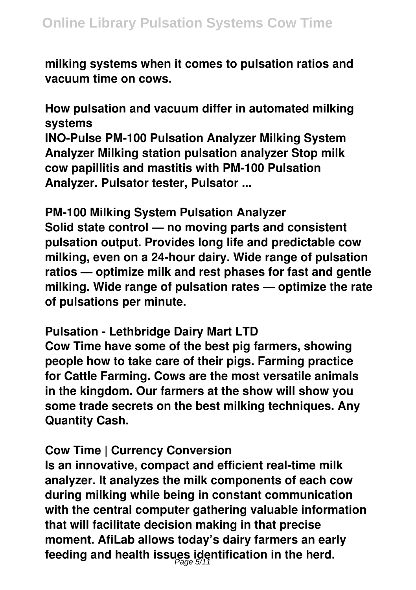**milking systems when it comes to pulsation ratios and vacuum time on cows.**

**How pulsation and vacuum differ in automated milking systems**

**INO-Pulse PM-100 Pulsation Analyzer Milking System Analyzer Milking station pulsation analyzer Stop milk cow papillitis and mastitis with PM-100 Pulsation Analyzer. Pulsator tester, Pulsator ...**

**PM-100 Milking System Pulsation Analyzer Solid state control — no moving parts and consistent pulsation output. Provides long life and predictable cow milking, even on a 24-hour dairy. Wide range of pulsation ratios — optimize milk and rest phases for fast and gentle milking. Wide range of pulsation rates — optimize the rate of pulsations per minute.**

**Pulsation - Lethbridge Dairy Mart LTD**

**Cow Time have some of the best pig farmers, showing people how to take care of their pigs. Farming practice for Cattle Farming. Cows are the most versatile animals in the kingdom. Our farmers at the show will show you some trade secrets on the best milking techniques. Any Quantity Cash.**

### **Cow Time | Currency Conversion**

**Is an innovative, compact and efficient real-time milk analyzer. It analyzes the milk components of each cow during milking while being in constant communication with the central computer gathering valuable information that will facilitate decision making in that precise moment. AfiLab allows today's dairy farmers an early feeding and health issues identification in the herd.** Page 5/11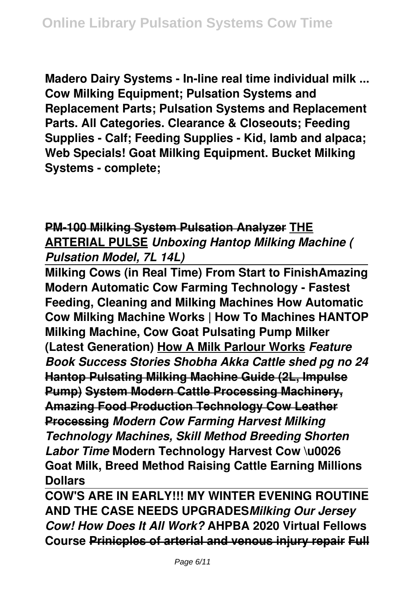**Madero Dairy Systems - In-line real time individual milk ... Cow Milking Equipment; Pulsation Systems and Replacement Parts; Pulsation Systems and Replacement Parts. All Categories. Clearance & Closeouts; Feeding Supplies - Calf; Feeding Supplies - Kid, lamb and alpaca; Web Specials! Goat Milking Equipment. Bucket Milking Systems - complete;**

## **PM-100 Milking System Pulsation Analyzer THE ARTERIAL PULSE** *Unboxing Hantop Milking Machine ( Pulsation Model, 7L 14L)*

**Milking Cows (in Real Time) From Start to FinishAmazing Modern Automatic Cow Farming Technology - Fastest Feeding, Cleaning and Milking Machines How Automatic Cow Milking Machine Works | How To Machines HANTOP Milking Machine, Cow Goat Pulsating Pump Milker (Latest Generation) How A Milk Parlour Works** *Feature Book Success Stories Shobha Akka Cattle shed pg no 24* **Hantop Pulsating Milking Machine Guide (2L, Impulse Pump) System Modern Cattle Processing Machinery, Amazing Food Production Technology Cow Leather Processing** *Modern Cow Farming Harvest Milking Technology Machines, Skill Method Breeding Shorten Labor Time* **Modern Technology Harvest Cow \u0026 Goat Milk, Breed Method Raising Cattle Earning Millions Dollars** 

**COW'S ARE IN EARLY!!! MY WINTER EVENING ROUTINE AND THE CASE NEEDS UPGRADES***Milking Our Jersey Cow! How Does It All Work?* **AHPBA 2020 Virtual Fellows Course Prinicples of arterial and venous injury repair Full**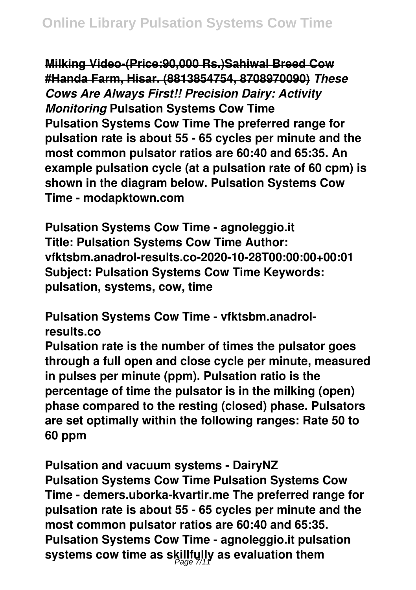**Milking Video-(Price:90,000 Rs.)Sahiwal Breed Cow #Handa Farm, Hisar. (8813854754, 8708970090)** *These Cows Are Always First!! Precision Dairy: Activity Monitoring* **Pulsation Systems Cow Time Pulsation Systems Cow Time The preferred range for pulsation rate is about 55 - 65 cycles per minute and the most common pulsator ratios are 60:40 and 65:35. An example pulsation cycle (at a pulsation rate of 60 cpm) is shown in the diagram below. Pulsation Systems Cow Time - modapktown.com**

**Pulsation Systems Cow Time - agnoleggio.it Title: Pulsation Systems Cow Time Author: vfktsbm.anadrol-results.co-2020-10-28T00:00:00+00:01 Subject: Pulsation Systems Cow Time Keywords: pulsation, systems, cow, time**

**Pulsation Systems Cow Time - vfktsbm.anadrolresults.co**

**Pulsation rate is the number of times the pulsator goes through a full open and close cycle per minute, measured in pulses per minute (ppm). Pulsation ratio is the percentage of time the pulsator is in the milking (open) phase compared to the resting (closed) phase. Pulsators are set optimally within the following ranges: Rate 50 to 60 ppm**

**Pulsation and vacuum systems - DairyNZ Pulsation Systems Cow Time Pulsation Systems Cow Time - demers.uborka-kvartir.me The preferred range for pulsation rate is about 55 - 65 cycles per minute and the most common pulsator ratios are 60:40 and 65:35. Pulsation Systems Cow Time - agnoleggio.it pulsation** systems cow time as skillfully as evaluation them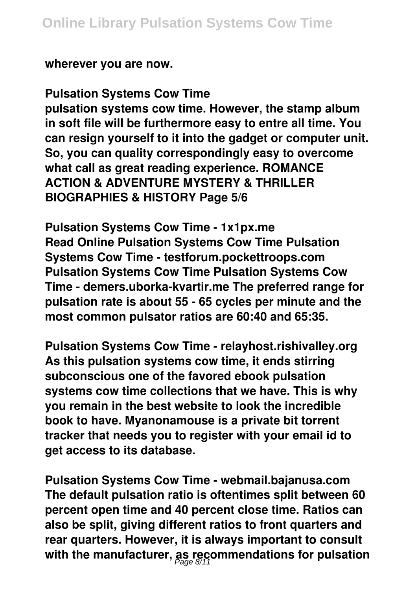**wherever you are now.**

**Pulsation Systems Cow Time**

**pulsation systems cow time. However, the stamp album in soft file will be furthermore easy to entre all time. You can resign yourself to it into the gadget or computer unit. So, you can quality correspondingly easy to overcome what call as great reading experience. ROMANCE ACTION & ADVENTURE MYSTERY & THRILLER BIOGRAPHIES & HISTORY Page 5/6**

**Pulsation Systems Cow Time - 1x1px.me Read Online Pulsation Systems Cow Time Pulsation Systems Cow Time - testforum.pockettroops.com Pulsation Systems Cow Time Pulsation Systems Cow Time - demers.uborka-kvartir.me The preferred range for pulsation rate is about 55 - 65 cycles per minute and the most common pulsator ratios are 60:40 and 65:35.**

**Pulsation Systems Cow Time - relayhost.rishivalley.org As this pulsation systems cow time, it ends stirring subconscious one of the favored ebook pulsation systems cow time collections that we have. This is why you remain in the best website to look the incredible book to have. Myanonamouse is a private bit torrent tracker that needs you to register with your email id to get access to its database.**

**Pulsation Systems Cow Time - webmail.bajanusa.com The default pulsation ratio is oftentimes split between 60 percent open time and 40 percent close time. Ratios can also be split, giving different ratios to front quarters and rear quarters. However, it is always important to consult with the manufacturer, as recommendations for pulsation** Page 8/11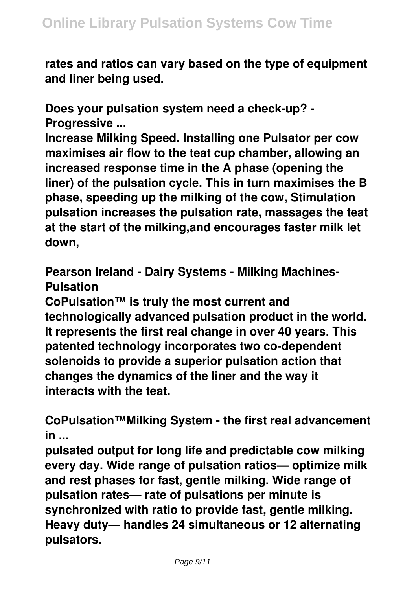**rates and ratios can vary based on the type of equipment and liner being used.**

**Does your pulsation system need a check-up? - Progressive ...**

**Increase Milking Speed. Installing one Pulsator per cow maximises air flow to the teat cup chamber, allowing an increased response time in the A phase (opening the liner) of the pulsation cycle. This in turn maximises the B phase, speeding up the milking of the cow, Stimulation pulsation increases the pulsation rate, massages the teat at the start of the milking,and encourages faster milk let down,**

**Pearson Ireland - Dairy Systems - Milking Machines-Pulsation**

**CoPulsation™ is truly the most current and technologically advanced pulsation product in the world. It represents the first real change in over 40 years. This patented technology incorporates two co-dependent solenoids to provide a superior pulsation action that changes the dynamics of the liner and the way it interacts with the teat.**

**CoPulsation™Milking System - the first real advancement in ...**

**pulsated output for long life and predictable cow milking every day. Wide range of pulsation ratios— optimize milk and rest phases for fast, gentle milking. Wide range of pulsation rates— rate of pulsations per minute is synchronized with ratio to provide fast, gentle milking. Heavy duty— handles 24 simultaneous or 12 alternating pulsators.**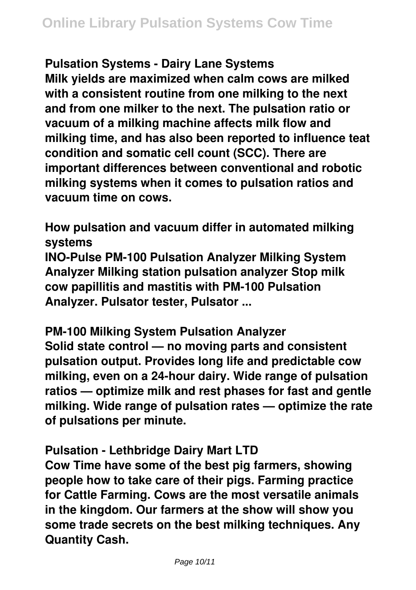**Pulsation Systems - Dairy Lane Systems Milk yields are maximized when calm cows are milked with a consistent routine from one milking to the next and from one milker to the next. The pulsation ratio or vacuum of a milking machine affects milk flow and milking time, and has also been reported to influence teat condition and somatic cell count (SCC). There are important differences between conventional and robotic milking systems when it comes to pulsation ratios and vacuum time on cows.**

**How pulsation and vacuum differ in automated milking systems**

**INO-Pulse PM-100 Pulsation Analyzer Milking System Analyzer Milking station pulsation analyzer Stop milk cow papillitis and mastitis with PM-100 Pulsation Analyzer. Pulsator tester, Pulsator ...**

**PM-100 Milking System Pulsation Analyzer Solid state control — no moving parts and consistent pulsation output. Provides long life and predictable cow milking, even on a 24-hour dairy. Wide range of pulsation ratios — optimize milk and rest phases for fast and gentle milking. Wide range of pulsation rates — optimize the rate of pulsations per minute.**

**Pulsation - Lethbridge Dairy Mart LTD**

**Cow Time have some of the best pig farmers, showing people how to take care of their pigs. Farming practice for Cattle Farming. Cows are the most versatile animals in the kingdom. Our farmers at the show will show you some trade secrets on the best milking techniques. Any Quantity Cash.**